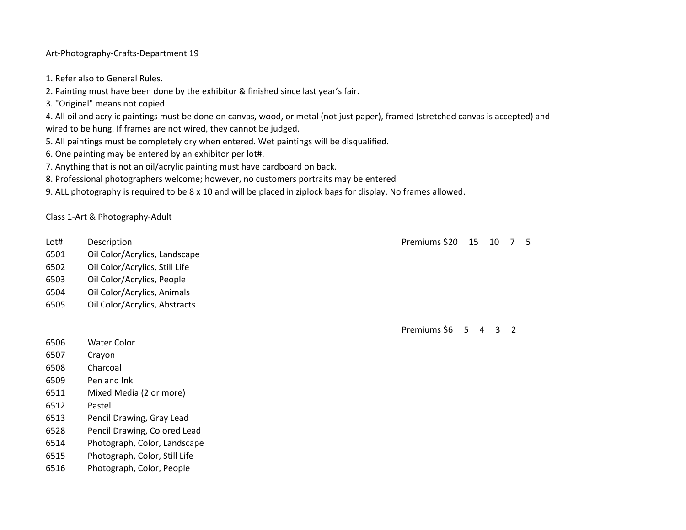Art-Photography-Crafts-Department 19

- 1. Refer also to General Rules.
- 2. Painting must have been done by the exhibitor & finished since last year's fair.
- 3. "Original" means not copied.

4. All oil and acrylic paintings must be done on canvas, wood, or metal (not just paper), framed (stretched canvas is accepted) and wired to be hung. If frames are not wired, they cannot be judged.

- 5. All paintings must be completely dry when entered. Wet paintings will be disqualified.
- 6. One painting may be entered by an exhibitor per lot#.
- 7. Anything that is not an oil/acrylic painting must have cardboard on back.
- 8. Professional photographers welcome; however, no customers portraits may be entered
- 9. ALL photography is required to be 8 x 10 and will be placed in ziplock bags for display. No frames allowed.

Class 1-Art & Photography-Adult

- Lot# Description Premiums \$20 15 10 7 5
- 6501 Oil Color/Acrylics, Landscape
- 6502 Oil Color/Acrylics, Still Life
- 6503 Oil Color/Acrylics, People
- 6504 Oil Color/Acrylics, Animals
- 6505 Oil Color/Acrylics, Abstracts

Premiums \$6 5 4 3 2

- 6506 Water Color
- 6507 Crayon
- 6508 Charcoal
- 6509 Pen and Ink
- 6511 Mixed Media (2 or more)
- 6512 Pastel
- 6513 Pencil Drawing, Gray Lead
- 6528 Pencil Drawing, Colored Lead
- 6514 Photograph, Color, Landscape
- 6515 Photograph, Color, Still Life
- 6516 Photograph, Color, People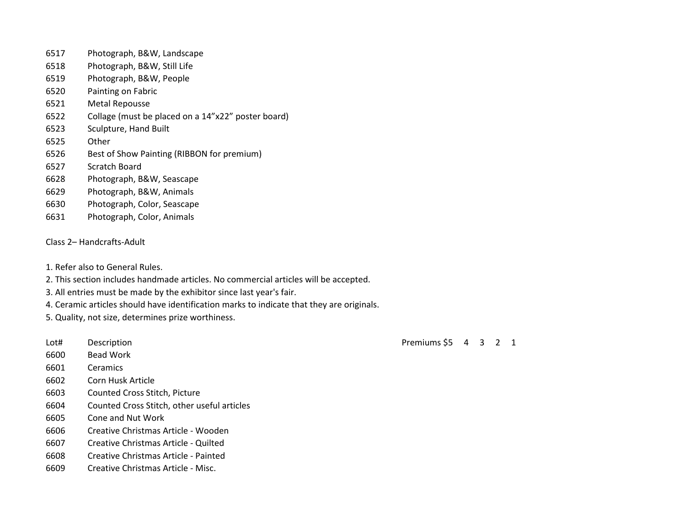- Photograph, B&W, Landscape
- Photograph, B&W, Still Life
- Photograph, B&W, People
- Painting on Fabric
- Metal Repousse
- Collage (must be placed on a 14"x22" poster board)
- Sculpture, Hand Built
- Other
- Best of Show Painting (RIBBON for premium)
- Scratch Board
- Photograph, B&W, Seascape
- Photograph, B&W, Animals
- Photograph, Color, Seascape
- Photograph, Color, Animals
- Class 2– Handcrafts-Adult
- 1. Refer also to General Rules.
- 2. This section includes handmade articles. No commercial articles will be accepted.
- 3. All entries must be made by the exhibitor since last year's fair.
- 4. Ceramic articles should have identification marks to indicate that they are originals.
- 5. Quality, not size, determines prize worthiness.
- 
- Bead Work
- Ceramics
- Corn Husk Article
- Counted Cross Stitch, Picture
- Counted Cross Stitch, other useful articles
- Cone and Nut Work
- Creative Christmas Article Wooden
- Creative Christmas Article Quilted
- Creative Christmas Article Painted
- Creative Christmas Article Misc.

Lot# Description **Premiums \$5 4 3 2 1**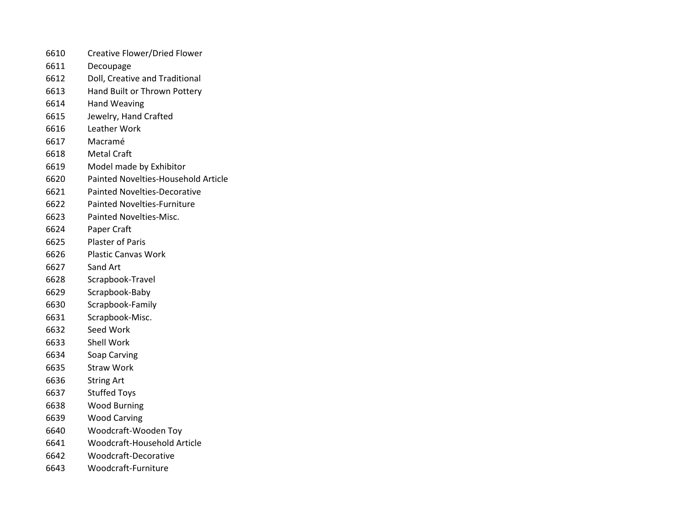- Creative Flower/Dried Flower
- Decoupage
- Doll, Creative and Traditional
- Hand Built or Thrown Pottery
- Hand Weaving
- Jewelry, Hand Crafted
- Leather Work
- Macramé
- Metal Craft
- Model made by Exhibitor
- Painted Novelties-Household Article
- Painted Novelties-Decorative
- Painted Novelties-Furniture
- Painted Novelties-Misc.
- Paper Craft
- Plaster of Paris
- Plastic Canvas Work
- Sand Art
- Scrapbook-Travel
- Scrapbook-Baby
- Scrapbook-Family
- Scrapbook-Misc.
- Seed Work
- Shell Work
- Soap Carving
- Straw Work
- String Art
- Stuffed Toys
- Wood Burning
- Wood Carving
- Woodcraft-Wooden Toy
- Woodcraft-Household Article
- Woodcraft-Decorative
- Woodcraft-Furniture